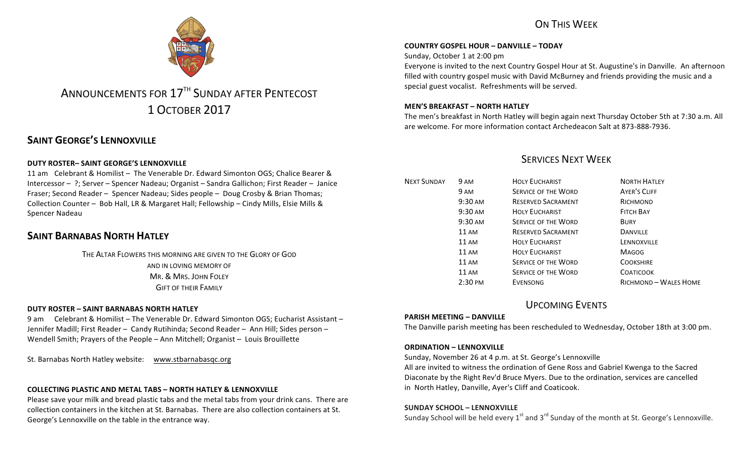

# ANNOUNCEMENTS FOR 17<sup>TH</sup> SUNDAY AFTER PENTECOST 1 OCTOBER 2017

# **SAINT GEORGE'S LENNOXVILLE**

#### **DUTY ROSTER– SAINT GEORGE'S LENNOXVILLE**

11 am Celebrant & Homilist – The Venerable Dr. Edward Simonton OGS; Chalice Bearer & Intercessor - ?; Server - Spencer Nadeau; Organist - Sandra Gallichon; First Reader - Janice Fraser; Second Reader – Spencer Nadeau; Sides people – Doug Crosby & Brian Thomas; Collection Counter – Bob Hall, LR & Margaret Hall; Fellowship – Cindy Mills, Elsie Mills & Spencer Nadeau

### **SAINT BARNABAS NORTH HATLEY**

THE ALTAR FLOWERS THIS MORNING ARE GIVEN TO THE GLORY OF GOD AND IN LOVING MEMORY OF MR. & MRS. JOHN FOLEY **GIFT OF THEIR FAMILY** 

#### **DUTY ROSTER – SAINT BARNABAS NORTH HATLEY**

9 am Celebrant & Homilist – The Venerable Dr. Edward Simonton OGS; Eucharist Assistant – Jennifer Madill; First Reader – Candy Rutihinda; Second Reader – Ann Hill; Sides person – Wendell Smith; Prayers of the People - Ann Mitchell; Organist - Louis Brouillette

St. Barnabas North Hatley website: www.stbarnabasqc.org

#### **COLLECTING PLASTIC AND METAL TABS – NORTH HATLEY & LENNOXVILLE**

Please save your milk and bread plastic tabs and the metal tabs from your drink cans. There are collection containers in the kitchen at St. Barnabas. There are also collection containers at St. George's Lennoxville on the table in the entrance way.

# ON THIS WFFK

#### **COUNTRY GOSPEL HOUR – DANVILLE – TODAY**

Sunday, October 1 at 2:00 pm

Everyone is invited to the next Country Gospel Hour at St. Augustine's in Danville. An afternoon filled with country gospel music with David McBurney and friends providing the music and a special guest vocalist. Refreshments will be served.

#### **MEN'S BREAKFAST – NORTH HATLEY**

The men's breakfast in North Hatley will begin again next Thursday October 5th at 7:30 a.m. All are welcome. For more information contact Archedeacon Salt at 873-888-7936.

## **SERVICES NEXT WEEK**

| <b>NEXT SUNDAY</b> | 9 AM               | <b>HOLY EUCHARIST</b>      | <b>NORTH HATLEY</b>   |
|--------------------|--------------------|----------------------------|-----------------------|
|                    | 9 AM               | <b>SERVICE OF THE WORD</b> | <b>AYER'S CLIFF</b>   |
|                    | 9:30 AM            | <b>RESERVED SACRAMENT</b>  | RICHMOND              |
|                    | $9:30 \text{ AM}$  | <b>HOLY EUCHARIST</b>      | <b>FITCH BAY</b>      |
|                    | 9:30 AM            | <b>SERVICE OF THE WORD</b> | <b>BURY</b>           |
|                    | 11 AM              | <b>RESERVED SACRAMENT</b>  | <b>DANVILLE</b>       |
|                    | 11 AM              | <b>HOLY EUCHARIST</b>      | LENNOXVILLE           |
|                    | 11 AM              | <b>HOLY EUCHARIST</b>      | <b>MAGOG</b>          |
|                    | <b>11 AM</b>       | <b>SERVICE OF THE WORD</b> | <b>COOKSHIRE</b>      |
|                    | 11 AM              | <b>SERVICE OF THE WORD</b> | <b>COATICOOK</b>      |
|                    | $2:30 \text{ }$ PM | <b>EVENSONG</b>            | RICHMOND - WALES HOME |

### UPCOMING EVENTS

#### **PARISH MEETING – DANVILLE**

The Danville parish meeting has been rescheduled to Wednesday, October 18th at 3:00 pm.

#### **ORDINATION – LENNOXVILLE**

Sunday, November 26 at 4 p.m. at St. George's Lennoxville

All are invited to witness the ordination of Gene Ross and Gabriel Kwenga to the Sacred Diaconate by the Right Rev'd Bruce Myers. Due to the ordination, services are cancelled in North Hatley, Danville, Ayer's Cliff and Coaticook.

#### **SUNDAY SCHOOL – LENNOXVILLE**

Sunday School will be held every  $1<sup>st</sup>$  and  $3<sup>rd</sup>$  Sunday of the month at St. George's Lennoxville.